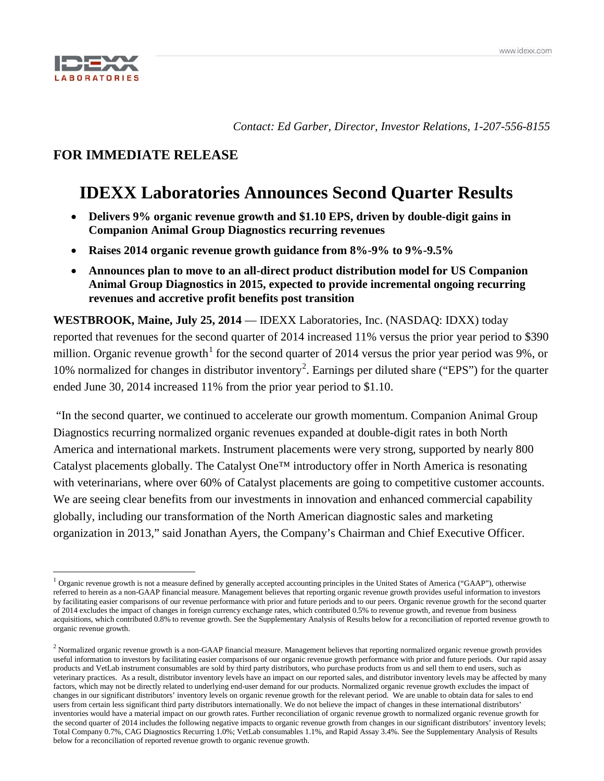

*Contact: Ed Garber, Director, Investor Relations, 1-207-556-8155*

# **FOR IMMEDIATE RELEASE**

# **IDEXX Laboratories Announces Second Quarter Results**

- **Delivers 9% organic revenue growth and \$1.10 EPS, driven by double-digit gains in Companion Animal Group Diagnostics recurring revenues**
- **Raises 2014 organic revenue growth guidance from 8%-9% to 9%-9.5%**
- **Announces plan to move to an all-direct product distribution model for US Companion Animal Group Diagnostics in 2015, expected to provide incremental ongoing recurring revenues and accretive profit benefits post transition**

**WESTBROOK, Maine, July 25, 2014** — IDEXX Laboratories, Inc. (NASDAQ: IDXX) today reported that revenues for the second quarter of 2014 increased 11% versus the prior year period to \$390 million. Organic revenue growth<sup>[1](#page-0-0)</sup> for the second quarter of 2014 versus the prior year period was 9%, or 10% normalized for changes in distributor inventory<sup>[2](#page-0-1)</sup>. Earnings per diluted share ("EPS") for the quarter ended June 30, 2014 increased 11% from the prior year period to \$1.10.

"In the second quarter, we continued to accelerate our growth momentum. Companion Animal Group Diagnostics recurring normalized organic revenues expanded at double-digit rates in both North America and international markets. Instrument placements were very strong, supported by nearly 800 Catalyst placements globally. The Catalyst One™ introductory offer in North America is resonating with veterinarians, where over 60% of Catalyst placements are going to competitive customer accounts. We are seeing clear benefits from our investments in innovation and enhanced commercial capability globally, including our transformation of the North American diagnostic sales and marketing organization in 2013," said Jonathan Ayers, the Company's Chairman and Chief Executive Officer.

<span id="page-0-0"></span> $<sup>1</sup>$  Organic revenue growth is not a measure defined by generally accepted accounting principles in the United States of America ("GAAP"), otherwise</sup> referred to herein as a non-GAAP financial measure. Management believes that reporting organic revenue growth provides useful information to investors by facilitating easier comparisons of our revenue performance with prior and future periods and to our peers. Organic revenue growth for the second quarter of 2014 excludes the impact of changes in foreign currency exchange rates, which contributed 0.5% to revenue growth, and revenue from business acquisitions, which contributed 0.8% to revenue growth. See the Supplementary Analysis of Results below for a reconciliation of reported revenue growth to organic revenue growth.

<span id="page-0-1"></span><sup>&</sup>lt;sup>2</sup> Normalized organic revenue growth is a non-GAAP financial measure. Management believes that reporting normalized organic revenue growth provides useful information to investors by facilitating easier comparisons of our organic revenue growth performance with prior and future periods. Our rapid assay products and VetLab instrument consumables are sold by third party distributors, who purchase products from us and sell them to end users, such as veterinary practices. As a result, distributor inventory levels have an impact on our reported sales, and distributor inventory levels may be affected by many factors, which may not be directly related to underlying end-user demand for our products. Normalized organic revenue growth excludes the impact of changes in our significant distributors' inventory levels on organic revenue growth for the relevant period. We are unable to obtain data for sales to end users from certain less significant third party distributors internationally. We do not believe the impact of changes in these international distributors' inventories would have a material impact on our growth rates. Further reconciliation of organic revenue growth to normalized organic revenue growth for the second quarter of 2014 includes the following negative impacts to organic revenue growth from changes in our significant distributors' inventory levels; Total Company 0.7%, CAG Diagnostics Recurring 1.0%; VetLab consumables 1.1%, and Rapid Assay 3.4%. See the Supplementary Analysis of Results below for a reconciliation of reported revenue growth to organic revenue growth.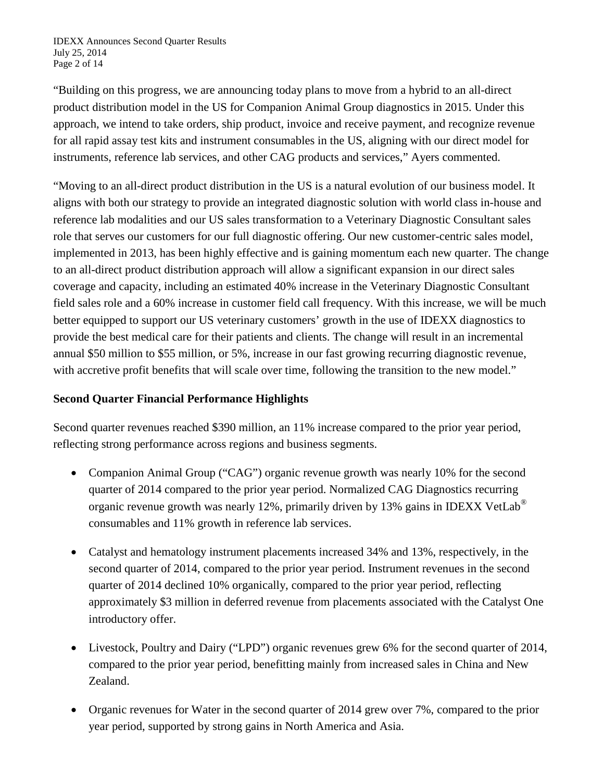"Building on this progress, we are announcing today plans to move from a hybrid to an all-direct product distribution model in the US for Companion Animal Group diagnostics in 2015. Under this approach, we intend to take orders, ship product, invoice and receive payment, and recognize revenue for all rapid assay test kits and instrument consumables in the US, aligning with our direct model for instruments, reference lab services, and other CAG products and services," Ayers commented.

"Moving to an all-direct product distribution in the US is a natural evolution of our business model. It aligns with both our strategy to provide an integrated diagnostic solution with world class in-house and reference lab modalities and our US sales transformation to a Veterinary Diagnostic Consultant sales role that serves our customers for our full diagnostic offering. Our new customer-centric sales model, implemented in 2013, has been highly effective and is gaining momentum each new quarter. The change to an all-direct product distribution approach will allow a significant expansion in our direct sales coverage and capacity, including an estimated 40% increase in the Veterinary Diagnostic Consultant field sales role and a 60% increase in customer field call frequency. With this increase, we will be much better equipped to support our US veterinary customers' growth in the use of IDEXX diagnostics to provide the best medical care for their patients and clients. The change will result in an incremental annual \$50 million to \$55 million, or 5%, increase in our fast growing recurring diagnostic revenue, with accretive profit benefits that will scale over time, following the transition to the new model."

# **Second Quarter Financial Performance Highlights**

Second quarter revenues reached \$390 million, an 11% increase compared to the prior year period, reflecting strong performance across regions and business segments.

- Companion Animal Group ("CAG") organic revenue growth was nearly 10% for the second quarter of 2014 compared to the prior year period. Normalized CAG Diagnostics recurring organic revenue growth was nearly 12%, primarily driven by 13% gains in IDEXX VetLab<sup>®</sup> consumables and 11% growth in reference lab services.
- Catalyst and hematology instrument placements increased 34% and 13%, respectively, in the second quarter of 2014, compared to the prior year period. Instrument revenues in the second quarter of 2014 declined 10% organically, compared to the prior year period, reflecting approximately \$3 million in deferred revenue from placements associated with the Catalyst One introductory offer.
- Livestock, Poultry and Dairy ("LPD") organic revenues grew 6% for the second quarter of 2014, compared to the prior year period, benefitting mainly from increased sales in China and New Zealand.
- Organic revenues for Water in the second quarter of 2014 grew over 7%, compared to the prior year period, supported by strong gains in North America and Asia.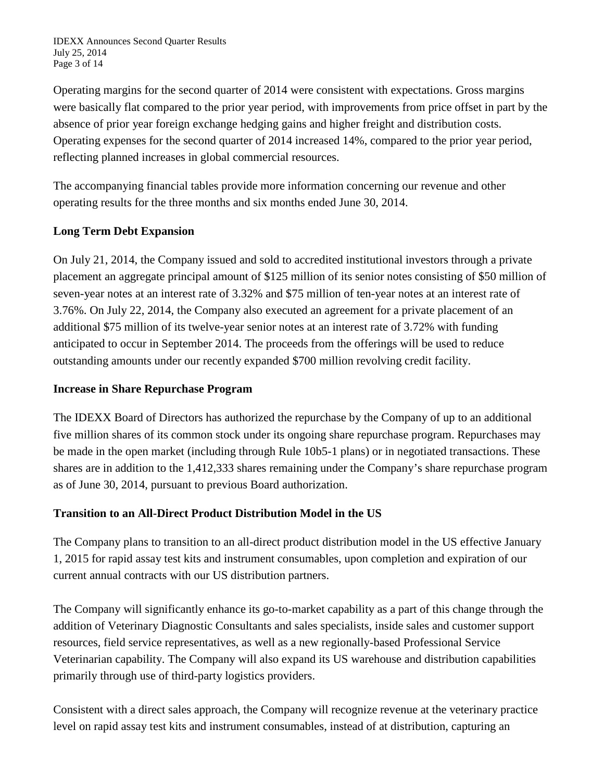IDEXX Announces Second Quarter Results July 25, 2014 Page 3 of 14

Operating margins for the second quarter of 2014 were consistent with expectations. Gross margins were basically flat compared to the prior year period, with improvements from price offset in part by the absence of prior year foreign exchange hedging gains and higher freight and distribution costs. Operating expenses for the second quarter of 2014 increased 14%, compared to the prior year period, reflecting planned increases in global commercial resources.

The accompanying financial tables provide more information concerning our revenue and other operating results for the three months and six months ended June 30, 2014.

# **Long Term Debt Expansion**

On July 21, 2014, the Company issued and sold to accredited institutional investors through a private placement an aggregate principal amount of \$125 million of its senior notes consisting of \$50 million of seven-year notes at an interest rate of 3.32% and \$75 million of ten-year notes at an interest rate of 3.76%. On July 22, 2014, the Company also executed an agreement for a private placement of an additional \$75 million of its twelve-year senior notes at an interest rate of 3.72% with funding anticipated to occur in September 2014. The proceeds from the offerings will be used to reduce outstanding amounts under our recently expanded \$700 million revolving credit facility.

# **Increase in Share Repurchase Program**

The IDEXX Board of Directors has authorized the repurchase by the Company of up to an additional five million shares of its common stock under its ongoing share repurchase program. Repurchases may be made in the open market (including through Rule 10b5-1 plans) or in negotiated transactions. These shares are in addition to the 1,412,333 shares remaining under the Company's share repurchase program as of June 30, 2014, pursuant to previous Board authorization.

# **Transition to an All-Direct Product Distribution Model in the US**

The Company plans to transition to an all-direct product distribution model in the US effective January 1, 2015 for rapid assay test kits and instrument consumables, upon completion and expiration of our current annual contracts with our US distribution partners.

The Company will significantly enhance its go-to-market capability as a part of this change through the addition of Veterinary Diagnostic Consultants and sales specialists, inside sales and customer support resources, field service representatives, as well as a new regionally-based Professional Service Veterinarian capability. The Company will also expand its US warehouse and distribution capabilities primarily through use of third-party logistics providers.

Consistent with a direct sales approach, the Company will recognize revenue at the veterinary practice level on rapid assay test kits and instrument consumables, instead of at distribution, capturing an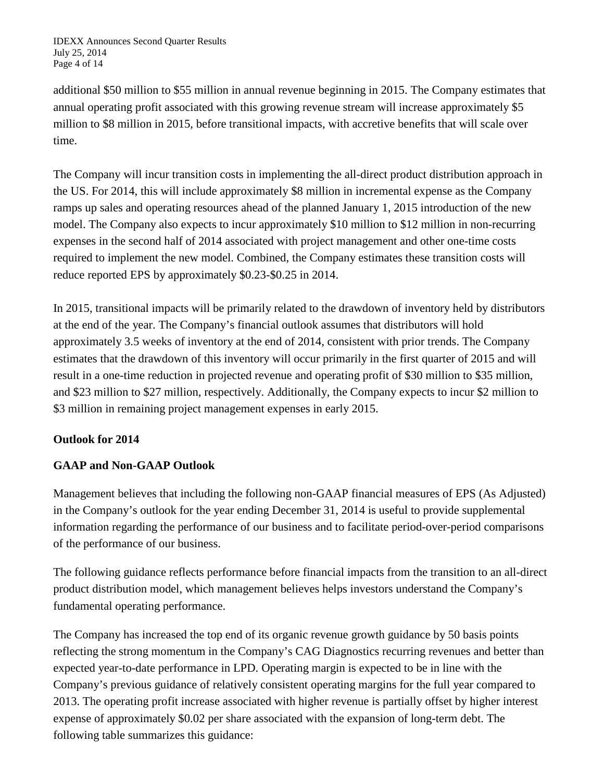additional \$50 million to \$55 million in annual revenue beginning in 2015. The Company estimates that annual operating profit associated with this growing revenue stream will increase approximately \$5 million to \$8 million in 2015, before transitional impacts, with accretive benefits that will scale over time.

The Company will incur transition costs in implementing the all-direct product distribution approach in the US. For 2014, this will include approximately \$8 million in incremental expense as the Company ramps up sales and operating resources ahead of the planned January 1, 2015 introduction of the new model. The Company also expects to incur approximately \$10 million to \$12 million in non-recurring expenses in the second half of 2014 associated with project management and other one-time costs required to implement the new model. Combined, the Company estimates these transition costs will reduce reported EPS by approximately \$0.23-\$0.25 in 2014.

In 2015, transitional impacts will be primarily related to the drawdown of inventory held by distributors at the end of the year. The Company's financial outlook assumes that distributors will hold approximately 3.5 weeks of inventory at the end of 2014, consistent with prior trends. The Company estimates that the drawdown of this inventory will occur primarily in the first quarter of 2015 and will result in a one-time reduction in projected revenue and operating profit of \$30 million to \$35 million, and \$23 million to \$27 million, respectively. Additionally, the Company expects to incur \$2 million to \$3 million in remaining project management expenses in early 2015.

# **Outlook for 2014**

# **GAAP and Non-GAAP Outlook**

Management believes that including the following non-GAAP financial measures of EPS (As Adjusted) in the Company's outlook for the year ending December 31, 2014 is useful to provide supplemental information regarding the performance of our business and to facilitate period-over-period comparisons of the performance of our business.

The following guidance reflects performance before financial impacts from the transition to an all-direct product distribution model, which management believes helps investors understand the Company's fundamental operating performance.

The Company has increased the top end of its organic revenue growth guidance by 50 basis points reflecting the strong momentum in the Company's CAG Diagnostics recurring revenues and better than expected year-to-date performance in LPD. Operating margin is expected to be in line with the Company's previous guidance of relatively consistent operating margins for the full year compared to 2013. The operating profit increase associated with higher revenue is partially offset by higher interest expense of approximately \$0.02 per share associated with the expansion of long-term debt. The following table summarizes this guidance: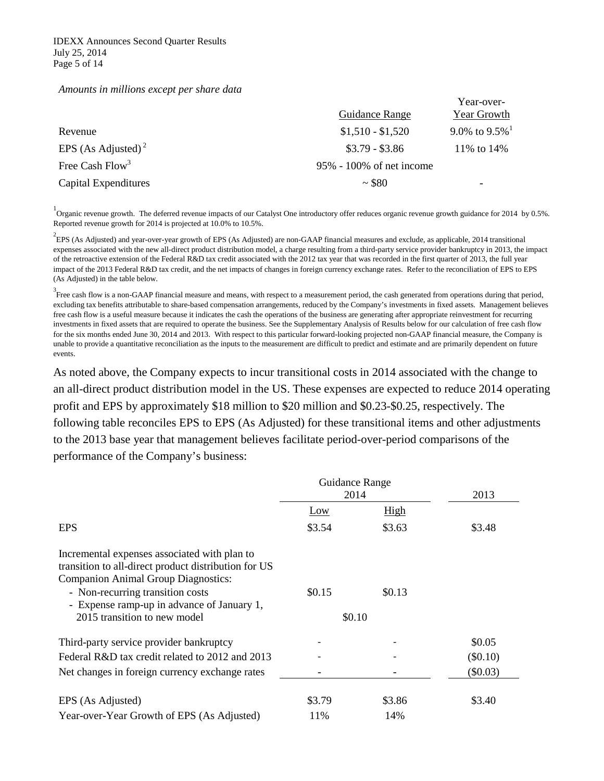#### *Amounts in millions except per share data*

|                                |                              | Year-over-         |
|--------------------------------|------------------------------|--------------------|
|                                | Guidance Range               | <b>Year Growth</b> |
| Revenue                        | $$1,510 - $1,520$            | 9.0% to $9.5\%$    |
| EPS (As Adjusted) <sup>2</sup> | $$3.79 - $3.86$              | 11\% to 14\%       |
| Free Cash Flow <sup>3</sup>    | $95\% - 100\%$ of net income |                    |
| Capital Expenditures           | ~1.880                       | -                  |

<sup>1</sup> Organic revenue growth. The deferred revenue impacts of our Catalyst One introductory offer reduces organic revenue growth guidance for 2014 by 0.5%. Reported revenue growth for 2014 is projected at 10.0% to 10.5%.

 $^{2}$ EPS (As Adjusted) and year-over-year growth of EPS (As Adjusted) are non-GAAP financial measures and exclude, as applicable, 2014 transitional expenses associated with the new all-direct product distribution model, a charge resulting from a third-party service provider bankruptcy in 2013, the impact of the retroactive extension of the Federal R&D tax credit associated with the 2012 tax year that was recorded in the first quarter of 2013, the full year impact of the 2013 Federal R&D tax credit, and the net impacts of changes in foreign currency exchange rates. Refer to the reconciliation of EPS to EPS (As Adjusted) in the table below.

<sup>3</sup> Free cash flow is a non-GAAP financial measure and means, with respect to a measurement period, the cash generated from operations during that period, excluding tax benefits attributable to share-based compensation arrangements, reduced by the Company's investments in fixed assets. Management believes free cash flow is a useful measure because it indicates the cash the operations of the business are generating after appropriate reinvestment for recurring investments in fixed assets that are required to operate the business. See the Supplementary Analysis of Results below for our calculation of free cash flow for the six months ended June 30, 2014 and 2013. With respect to this particular forward-looking projected non-GAAP financial measure, the Company is unable to provide a quantitative reconciliation as the inputs to the measurement are difficult to predict and estimate and are primarily dependent on future events.

As noted above, the Company expects to incur transitional costs in 2014 associated with the change to an all-direct product distribution model in the US. These expenses are expected to reduce 2014 operating profit and EPS by approximately \$18 million to \$20 million and \$0.23-\$0.25, respectively. The following table reconciles EPS to EPS (As Adjusted) for these transitional items and other adjustments to the 2013 base year that management believes facilitate period-over-period comparisons of the performance of the Company's business:

|                                                                                                                                                                                                                                                                      | Guidance Range<br>2014 |        | 2013       |
|----------------------------------------------------------------------------------------------------------------------------------------------------------------------------------------------------------------------------------------------------------------------|------------------------|--------|------------|
|                                                                                                                                                                                                                                                                      | <u>Low</u>             | High   |            |
| <b>EPS</b>                                                                                                                                                                                                                                                           | \$3.54                 | \$3.63 | \$3.48     |
| Incremental expenses associated with plan to<br>transition to all-direct product distribution for US<br><b>Companion Animal Group Diagnostics:</b><br>- Non-recurring transition costs<br>- Expense ramp-up in advance of January 1,<br>2015 transition to new model | \$0.15<br>\$0.10       | \$0.13 |            |
| Third-party service provider bankruptcy                                                                                                                                                                                                                              |                        |        | \$0.05     |
| Federal R&D tax credit related to 2012 and 2013                                                                                                                                                                                                                      |                        |        | $(\$0.10)$ |
| Net changes in foreign currency exchange rates                                                                                                                                                                                                                       |                        |        | $(\$0.03)$ |
| EPS (As Adjusted)                                                                                                                                                                                                                                                    | \$3.79                 | \$3.86 | \$3.40     |
| Year-over-Year Growth of EPS (As Adjusted)                                                                                                                                                                                                                           | 11%                    | 14%    |            |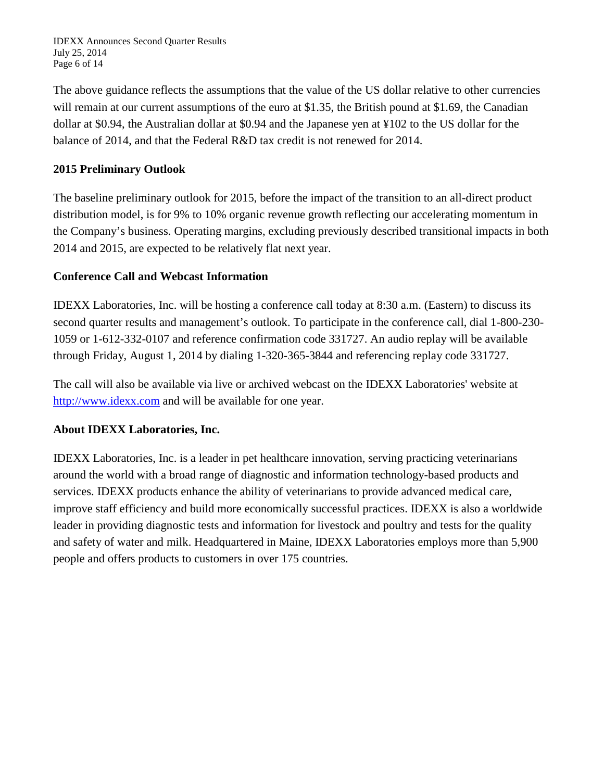IDEXX Announces Second Quarter Results July 25, 2014 Page 6 of 14

The above guidance reflects the assumptions that the value of the US dollar relative to other currencies will remain at our current assumptions of the euro at \$1.35, the British pound at \$1.69, the Canadian dollar at \$0.94, the Australian dollar at \$0.94 and the Japanese yen at ¥102 to the US dollar for the balance of 2014, and that the Federal R&D tax credit is not renewed for 2014.

# **2015 Preliminary Outlook**

The baseline preliminary outlook for 2015, before the impact of the transition to an all-direct product distribution model, is for 9% to 10% organic revenue growth reflecting our accelerating momentum in the Company's business. Operating margins, excluding previously described transitional impacts in both 2014 and 2015, are expected to be relatively flat next year.

# **Conference Call and Webcast Information**

IDEXX Laboratories, Inc. will be hosting a conference call today at 8:30 a.m. (Eastern) to discuss its second quarter results and management's outlook. To participate in the conference call, dial 1-800-230- 1059 or 1-612-332-0107 and reference confirmation code 331727. An audio replay will be available through Friday, August 1, 2014 by dialing 1-320-365-3844 and referencing replay code 331727.

The call will also be available via live or archived webcast on the IDEXX Laboratories' website at [http://www.idexx.com](http://www.idexx.com/) and will be available for one year.

# **About IDEXX Laboratories, Inc.**

IDEXX Laboratories, Inc. is a leader in pet healthcare innovation, serving practicing veterinarians around the world with a broad range of diagnostic and information technology-based products and services. IDEXX products enhance the ability of veterinarians to provide advanced medical care, improve staff efficiency and build more economically successful practices. IDEXX is also a worldwide leader in providing diagnostic tests and information for livestock and poultry and tests for the quality and safety of water and milk. Headquartered in Maine, IDEXX Laboratories employs more than 5,900 people and offers products to customers in over 175 countries.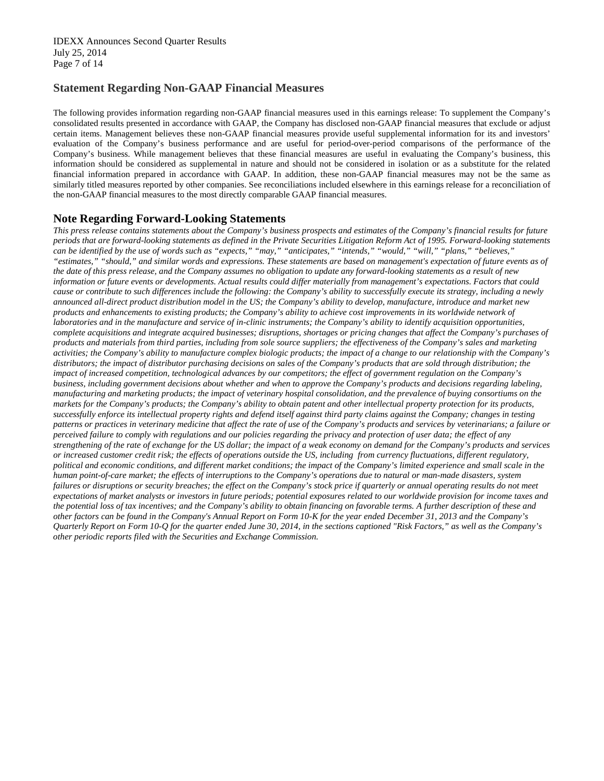## **Statement Regarding Non-GAAP Financial Measures**

The following provides information regarding non-GAAP financial measures used in this earnings release: To supplement the Company's consolidated results presented in accordance with GAAP, the Company has disclosed non-GAAP financial measures that exclude or adjust certain items. Management believes these non-GAAP financial measures provide useful supplemental information for its and investors' evaluation of the Company's business performance and are useful for period-over-period comparisons of the performance of the Company's business. While management believes that these financial measures are useful in evaluating the Company's business, this information should be considered as supplemental in nature and should not be considered in isolation or as a substitute for the related financial information prepared in accordance with GAAP. In addition, these non-GAAP financial measures may not be the same as similarly titled measures reported by other companies. See reconciliations included elsewhere in this earnings release for a reconciliation of the non-GAAP financial measures to the most directly comparable GAAP financial measures.

## **Note Regarding Forward-Looking Statements**

*This press release contains statements about the Company's business prospects and estimates of the Company's financial results for future periods that are forward-looking statements as defined in the Private Securities Litigation Reform Act of 1995. Forward-looking statements can be identified by the use of words such as "expects," "may," "anticipates," "intends," "would," "will," "plans," "believes," "estimates," "should," and similar words and expressions. These statements are based on management's expectation of future events as of the date of this press release, and the Company assumes no obligation to update any forward-looking statements as a result of new information or future events or developments. Actual results could differ materially from management's expectations. Factors that could cause or contribute to such differences include the following: the Company's ability to successfully execute its strategy, including a newly announced all-direct product distribution model in the US; the Company's ability to develop, manufacture, introduce and market new products and enhancements to existing products; the Company's ability to achieve cost improvements in its worldwide network of laboratories and in the manufacture and service of in-clinic instruments; the Company's ability to identify acquisition opportunities, complete acquisitions and integrate acquired businesses; disruptions, shortages or pricing changes that affect the Company's purchases of products and materials from third parties, including from sole source suppliers; the effectiveness of the Company's sales and marketing activities; the Company's ability to manufacture complex biologic products; the impact of a change to our relationship with the Company's distributors; the impact of distributor purchasing decisions on sales of the Company's products that are sold through distribution; the impact of increased competition, technological advances by our competitors; the effect of government regulation on the Company's business, including government decisions about whether and when to approve the Company's products and decisions regarding labeling, manufacturing and marketing products; the impact of veterinary hospital consolidation, and the prevalence of buying consortiums on the markets for the Company's products; the Company's ability to obtain patent and other intellectual property protection for its products, successfully enforce its intellectual property rights and defend itself against third party claims against the Company; changes in testing patterns or practices in veterinary medicine that affect the rate of use of the Company's products and services by veterinarians; a failure or perceived failure to comply with regulations and our policies regarding the privacy and protection of user data; the effect of any strengthening of the rate of exchange for the US dollar; the impact of a weak economy on demand for the Company's products and services or increased customer credit risk; the effects of operations outside the US, including from currency fluctuations, different regulatory, political and economic conditions, and different market conditions; the impact of the Company's limited experience and small scale in the human point-of-care market; the effects of interruptions to the Company's operations due to natural or man-made disasters, system*  failures or disruptions or security breaches; the effect on the Company's stock price if quarterly or annual operating results do not meet *expectations of market analysts or investors in future periods; potential exposures related to our worldwide provision for income taxes and the potential loss of tax incentives; and the Company's ability to obtain financing on favorable terms. A further description of these and other factors can be found in the Company's Annual Report on Form 10-K for the year ended December 31, 2013 and the Company's Quarterly Report on Form 10-Q for the quarter ended June 30, 2014, in the sections captioned "Risk Factors," as well as the Company's other periodic reports filed with the Securities and Exchange Commission.*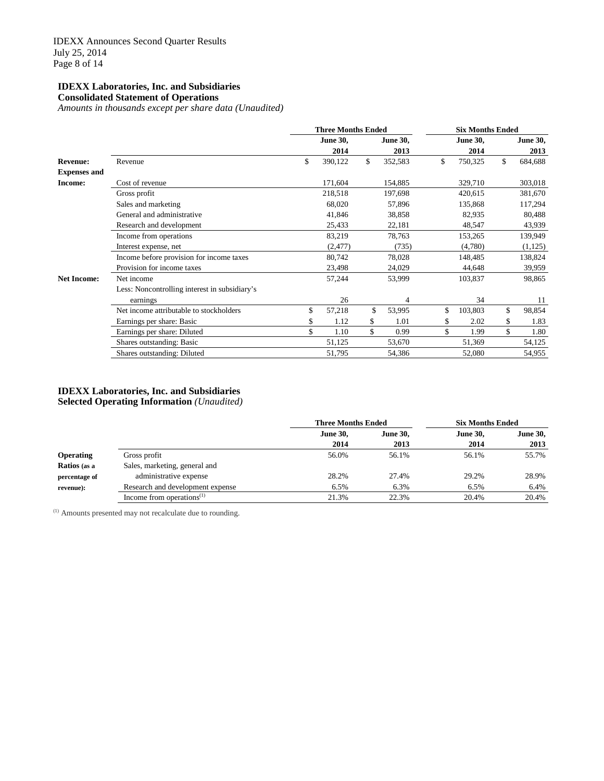## **IDEXX Laboratories, Inc. and Subsidiaries Consolidated Statement of Operations**

*Amounts in thousands except per share data (Unaudited)*

|                     |                                               | <b>Three Months Ended</b> |                 |    |                 | <b>Six Months Ended</b> |                 |    |                 |  |
|---------------------|-----------------------------------------------|---------------------------|-----------------|----|-----------------|-------------------------|-----------------|----|-----------------|--|
|                     |                                               |                           | <b>June 30,</b> |    | <b>June 30,</b> |                         | <b>June 30,</b> |    | <b>June 30,</b> |  |
|                     |                                               |                           | 2014            |    | 2013            |                         | 2014            |    | 2013            |  |
| <b>Revenue:</b>     | Revenue                                       | \$                        | 390,122         | \$ | 352,583         | \$                      | 750,325         | \$ | 684,688         |  |
| <b>Expenses and</b> |                                               |                           |                 |    |                 |                         |                 |    |                 |  |
| Income:             | Cost of revenue                               |                           | 171,604         |    | 154,885         |                         | 329,710         |    | 303,018         |  |
|                     | Gross profit                                  |                           | 218,518         |    | 197,698         |                         | 420,615         |    | 381,670         |  |
|                     | Sales and marketing                           |                           | 68,020          |    | 57,896          |                         | 135,868         |    | 117,294         |  |
|                     | General and administrative                    |                           | 41,846          |    | 38,858          |                         | 82,935          |    | 80,488          |  |
|                     | Research and development                      |                           | 25,433          |    | 22,181          |                         | 48,547          |    | 43,939          |  |
|                     | Income from operations                        |                           | 83,219          |    | 78,763          |                         | 153,265         |    | 139,949         |  |
|                     | Interest expense, net                         |                           | (2, 477)        |    | (735)           |                         | (4,780)         |    | (1, 125)        |  |
|                     | Income before provision for income taxes      |                           | 80,742          |    | 78,028          |                         | 148,485         |    | 138,824         |  |
|                     | Provision for income taxes                    |                           | 23,498          |    | 24,029          |                         | 44,648          |    | 39,959          |  |
| <b>Net Income:</b>  | Net income                                    |                           | 57,244          |    | 53,999          |                         | 103,837         |    | 98,865          |  |
|                     | Less: Noncontrolling interest in subsidiary's |                           |                 |    |                 |                         |                 |    |                 |  |
|                     | earnings                                      |                           | 26              |    | $\overline{4}$  |                         | 34              |    | 11              |  |
|                     | Net income attributable to stockholders       | \$                        | 57,218          | \$ | 53,995          | \$                      | 103,803         | \$ | 98,854          |  |
|                     | Earnings per share: Basic                     | \$                        | 1.12            | \$ | 1.01            |                         | 2.02            | \$ | 1.83            |  |
|                     | Earnings per share: Diluted                   | \$                        | 1.10            | \$ | 0.99            |                         | 1.99            | \$ | 1.80            |  |
|                     | Shares outstanding: Basic                     |                           | 51,125          |    | 53,670          |                         | 51,369          |    | 54,125          |  |
|                     | Shares outstanding: Diluted                   |                           | 51,795          |    | 54,386          |                         | 52,080          |    | 54,955          |  |

## **IDEXX Laboratories, Inc. and Subsidiaries Selected Operating Information** *(Unaudited)*

|                  |                                  | <b>Three Months Ended</b> |                 | <b>Six Months Ended</b> |                 |  |  |
|------------------|----------------------------------|---------------------------|-----------------|-------------------------|-----------------|--|--|
|                  |                                  | <b>June 30,</b>           | <b>June 30.</b> | <b>June 30,</b>         | <b>June 30,</b> |  |  |
|                  |                                  | 2014                      | 2013            | 2014                    | 2013            |  |  |
| <b>Operating</b> | Gross profit                     | 56.0%                     | 56.1%           | 56.1%                   | 55.7%           |  |  |
| Ratios (as a     | Sales, marketing, general and    |                           |                 |                         |                 |  |  |
| percentage of    | administrative expense           | 28.2%                     | 27.4%           | 29.2%                   | 28.9%           |  |  |
| revenue):        | Research and development expense | 6.5%                      | 6.3%            | 6.5%                    | 6.4%            |  |  |
|                  | Income from operations $(1)$     | 21.3%                     | 22.3%           | 20.4%                   | 20.4%           |  |  |

(1) Amounts presented may not recalculate due to rounding.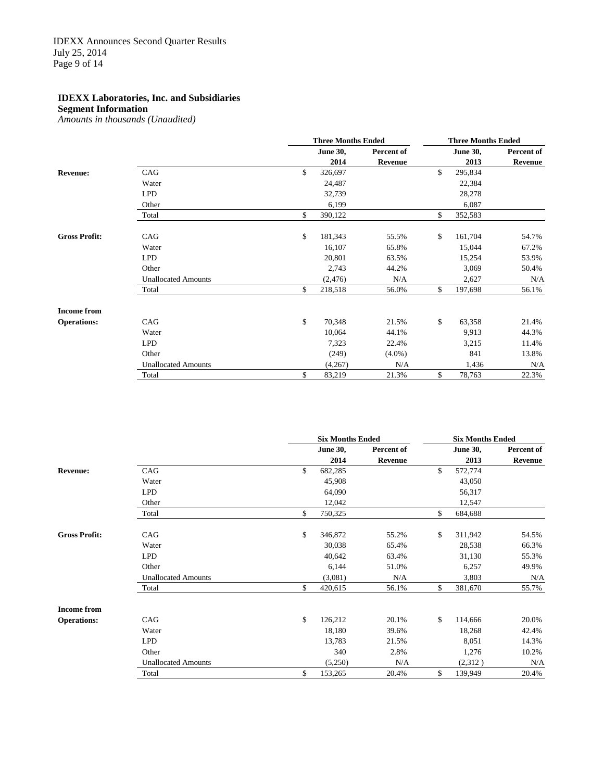**Segment Information**

*Amounts in thousands (Unaudited)*

|                      |                            | <b>Three Months Ended</b> |                |    | <b>Three Months Ended</b> |            |  |  |
|----------------------|----------------------------|---------------------------|----------------|----|---------------------------|------------|--|--|
|                      |                            | <b>June 30,</b>           | Percent of     |    | <b>June 30,</b>           | Percent of |  |  |
|                      |                            | 2014                      | <b>Revenue</b> |    | 2013                      | Revenue    |  |  |
| <b>Revenue:</b>      | CAG                        | \$<br>326,697             |                | \$ | 295,834                   |            |  |  |
|                      | Water                      | 24,487                    |                |    | 22,384                    |            |  |  |
|                      | <b>LPD</b>                 | 32,739                    |                |    | 28,278                    |            |  |  |
|                      | Other                      | 6,199                     |                |    | 6,087                     |            |  |  |
|                      | Total                      | \$<br>390,122             |                | \$ | 352,583                   |            |  |  |
| <b>Gross Profit:</b> | CAG                        | \$<br>181,343             | 55.5%          | \$ | 161,704                   | 54.7%      |  |  |
|                      | Water                      | 16,107                    | 65.8%          |    | 15,044                    | 67.2%      |  |  |
|                      | <b>LPD</b>                 | 20,801                    | 63.5%          |    | 15,254                    | 53.9%      |  |  |
|                      | Other                      | 2,743                     | 44.2%          |    | 3,069                     | 50.4%      |  |  |
|                      | <b>Unallocated Amounts</b> | (2, 476)                  | N/A            |    | 2,627                     | N/A        |  |  |
|                      | Total                      | \$<br>218,518             | 56.0%          | \$ | 197,698                   | 56.1%      |  |  |
| <b>Income from</b>   |                            |                           |                |    |                           |            |  |  |
| <b>Operations:</b>   | CAG                        | \$<br>70,348              | 21.5%          | \$ | 63,358                    | 21.4%      |  |  |
|                      | Water                      | 10,064                    | 44.1%          |    | 9,913                     | 44.3%      |  |  |
|                      | <b>LPD</b>                 | 7,323                     | 22.4%          |    | 3,215                     | 11.4%      |  |  |
|                      | Other                      | (249)                     | $(4.0\%)$      |    | 841                       | 13.8%      |  |  |
|                      | <b>Unallocated Amounts</b> | (4,267)                   | N/A            |    | 1,436                     | N/A        |  |  |
|                      | Total                      | \$<br>83,219              | 21.3%          | \$ | 78,763                    | 22.3%      |  |  |

|                      |                            | <b>Six Months Ended</b> |            | <b>Six Months Ended</b> |                 |            |  |
|----------------------|----------------------------|-------------------------|------------|-------------------------|-----------------|------------|--|
|                      |                            | <b>June 30,</b>         | Percent of |                         | <b>June 30,</b> | Percent of |  |
|                      |                            | 2014                    | Revenue    |                         | 2013            | Revenue    |  |
| <b>Revenue:</b>      | CAG                        | \$<br>682,285           |            | \$                      | 572,774         |            |  |
|                      | Water                      | 45,908                  |            |                         | 43,050          |            |  |
|                      | <b>LPD</b>                 | 64,090                  |            |                         | 56,317          |            |  |
|                      | Other                      | 12,042                  |            |                         | 12,547          |            |  |
|                      | Total                      | \$<br>750,325           |            | \$                      | 684,688         |            |  |
| <b>Gross Profit:</b> | CAG                        | \$<br>346,872           | 55.2%      | \$                      | 311,942         | 54.5%      |  |
|                      | Water                      | 30,038                  | 65.4%      |                         | 28,538          | 66.3%      |  |
|                      | <b>LPD</b>                 | 40,642                  | 63.4%      |                         | 31,130          | 55.3%      |  |
|                      | Other                      | 6,144                   | 51.0%      |                         | 6,257           | 49.9%      |  |
|                      | <b>Unallocated Amounts</b> | (3,081)                 | N/A        |                         | 3,803           | N/A        |  |
|                      | Total                      | \$<br>420,615           | 56.1%      | \$                      | 381,670         | 55.7%      |  |
| <b>Income from</b>   |                            |                         |            |                         |                 |            |  |
| <b>Operations:</b>   | CAG                        | \$<br>126,212           | 20.1%      | \$                      | 114,666         | 20.0%      |  |
|                      | Water                      | 18,180                  | 39.6%      |                         | 18,268          | 42.4%      |  |
|                      | <b>LPD</b>                 | 13,783                  | 21.5%      |                         | 8,051           | 14.3%      |  |
|                      | Other                      | 340                     | 2.8%       |                         | 1,276           | 10.2%      |  |
|                      | <b>Unallocated Amounts</b> | (5,250)                 | N/A        |                         | (2,312)         | N/A        |  |
|                      | Total                      | \$<br>153,265           | 20.4%      | \$                      | 139,949         | 20.4%      |  |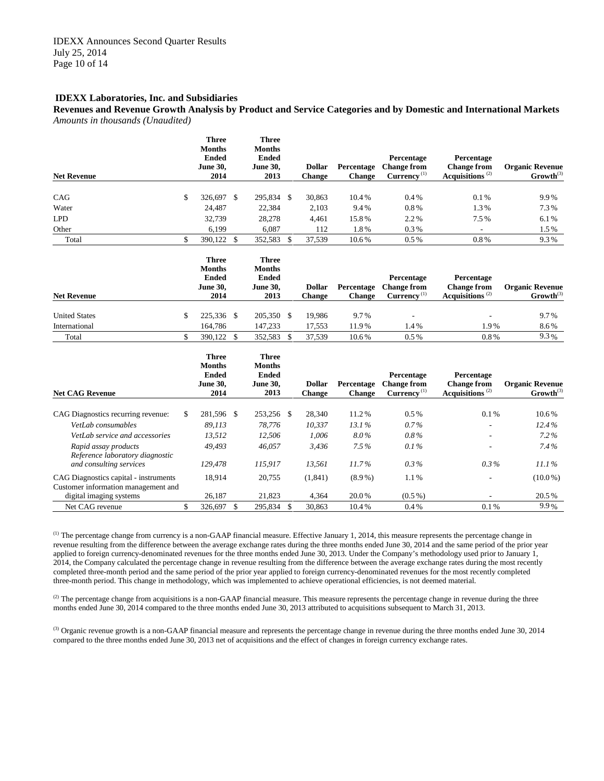**Revenues and Revenue Growth Analysis by Product and Service Categories and by Domestic and International Markets** *Amounts in thousands (Unaudited)*

| <b>Net Revenue</b>                                                           | <b>Three</b><br><b>Months</b><br><b>Ended</b><br><b>June 30,</b><br>2014 |                        | <b>Three</b><br><b>Months</b><br><b>Ended</b><br><b>June 30.</b><br>2013 |              | <b>Dollar</b><br><b>Change</b> | Percentage<br><b>Change</b> | Percentage<br><b>Change from</b><br>Currency <sup>(1)</sup>   | Percentage<br><b>Change from</b><br>Acquisitions <sup>(2)</sup> | <b>Organic Revenue</b><br>$Growth^{(3)}$ |
|------------------------------------------------------------------------------|--------------------------------------------------------------------------|------------------------|--------------------------------------------------------------------------|--------------|--------------------------------|-----------------------------|---------------------------------------------------------------|-----------------------------------------------------------------|------------------------------------------|
|                                                                              |                                                                          |                        |                                                                          |              |                                |                             |                                                               |                                                                 |                                          |
| CAG                                                                          | \$<br>326,697 \$                                                         |                        | 295,834 \$                                                               |              | 30,863                         | 10.4%                       | 0.4%                                                          | 0.1%                                                            | 9.9%                                     |
| Water                                                                        | 24,487                                                                   |                        | 22,384                                                                   |              | 2,103                          | 9.4%                        | 0.8%                                                          | 1.3%                                                            | 7.3%                                     |
| <b>LPD</b>                                                                   | 32,739                                                                   |                        | 28,278                                                                   |              | 4,461                          | 15.8%                       | 2.2%                                                          | 7.5%                                                            | 6.1%                                     |
| Other                                                                        | 6,199                                                                    |                        | 6,087                                                                    |              | 112                            | 1.8%                        | 0.3%                                                          | L,                                                              | 1.5%                                     |
| Total                                                                        | \$<br>390,122                                                            | $\mathbf{\mathcal{S}}$ | 352,583                                                                  | - \$         | 37,539                         | 10.6%                       | $0.5\%$                                                       | $0.8\%$                                                         | 9.3%                                     |
| <b>Net Revenue</b>                                                           | <b>Three</b><br><b>Months</b><br><b>Ended</b><br><b>June 30,</b><br>2014 |                        | <b>Three</b><br><b>Months</b><br><b>Ended</b><br><b>June 30,</b><br>2013 |              | <b>Dollar</b><br><b>Change</b> | Percentage<br><b>Change</b> | Percentage<br><b>Change from</b><br>Current <sup>(1)</sup>    | Percentage<br><b>Change from</b><br>Acquisitions <sup>(2)</sup> | <b>Organic Revenue</b><br>$Growth^{(3)}$ |
|                                                                              |                                                                          |                        |                                                                          |              |                                |                             |                                                               |                                                                 |                                          |
| <b>United States</b>                                                         | \$<br>225,336 \$                                                         |                        | 205,350 \$                                                               |              | 19,986                         | 9.7%                        |                                                               |                                                                 | 9.7%                                     |
| International                                                                | 164,786                                                                  |                        | 147,233                                                                  |              | 17,553                         | 11.9%                       | 1.4%                                                          | 1.9%                                                            | 8.6%                                     |
| Total                                                                        | \$<br>390,122 \$                                                         |                        | 352,583                                                                  | $\mathbb{S}$ | 37,539                         | 10.6%                       | 0.5%                                                          | 0.8%                                                            | 9.3%                                     |
| <b>Net CAG Revenue</b>                                                       | <b>Three</b><br><b>Months</b><br><b>Ended</b><br><b>June 30,</b><br>2014 |                        | <b>Three</b><br><b>Months</b><br><b>Ended</b><br><b>June 30,</b><br>2013 |              | <b>Dollar</b><br><b>Change</b> | Percentage<br><b>Change</b> | Percentage<br><b>Change from</b><br>$Currence$ <sup>(1)</sup> | Percentage<br><b>Change from</b><br>Acquisitions <sup>(2)</sup> | <b>Organic Revenue</b><br>$Growth^{(3)}$ |
| CAG Diagnostics recurring revenue:                                           | \$<br>281,596 \$                                                         |                        | 253,256 \$                                                               |              | 28,340                         | 11.2%                       | 0.5%                                                          | 0.1%                                                            | 10.6%                                    |
| VetLab consumables                                                           | 89,113                                                                   |                        | 78,776                                                                   |              | 10,337                         | 13.1%                       | 0.7%                                                          |                                                                 | 12.4%                                    |
| VetLab service and accessories                                               | 13.512                                                                   |                        | 12,506                                                                   |              | 1,006                          | 8.0%                        | 0.8%                                                          |                                                                 | $7.2\%$                                  |
| Rapid assay products<br>Reference laboratory diagnostic                      | 49.493                                                                   |                        | 46.057                                                                   |              | 3,436                          | 7.5%                        | 0.1%                                                          |                                                                 | 7.4%                                     |
| and consulting services                                                      | 129,478                                                                  |                        | 115,917                                                                  |              | 13,561                         | 11.7%                       | $0.3\%$                                                       | $0.3\%$                                                         | 11.1%                                    |
| CAG Diagnostics capital - instruments<br>Customer information management and | 18,914                                                                   |                        | 20,755                                                                   |              | (1, 841)                       | $(8.9\%)$                   | 1.1%                                                          |                                                                 | $(10.0\%)$                               |
| digital imaging systems                                                      | 26,187                                                                   |                        | 21,823                                                                   |              | 4,364                          | 20.0%                       | $(0.5\%)$                                                     |                                                                 | 20.5%                                    |
| Net CAG revenue                                                              | \$<br>326,697                                                            | $\mathcal{S}$          | 295.834 \$                                                               |              | 30.863                         | 10.4%                       | 0.4%                                                          | $0.1\%$                                                         | 9.9%                                     |

<sup>(1)</sup> The percentage change from currency is a non-GAAP financial measure. Effective January 1, 2014, this measure represents the percentage change in revenue resulting from the difference between the average exchange rates during the three months ended June 30, 2014 and the same period of the prior year applied to foreign currency-denominated revenues for the three months ended June 30, 2013. Under the Company's methodology used prior to January 1, 2014, the Company calculated the percentage change in revenue resulting from the difference between the average exchange rates during the most recently completed three-month period and the same period of the prior year applied to foreign currency-denominated revenues for the most recently completed three-month period. This change in methodology, which was implemented to achieve operational efficiencies, is not deemed material.

 $^{(2)}$  The percentage change from acquisitions is a non-GAAP financial measure. This measure represents the percentage change in revenue during the three months ended June 30, 2014 compared to the three months ended June 30, 2013 attributed to acquisitions subsequent to March 31, 2013.

<sup>(3)</sup> Organic revenue growth is a non-GAAP financial measure and represents the percentage change in revenue during the three months ended June 30, 2014 compared to the three months ended June 30, 2013 net of acquisitions and the effect of changes in foreign currency exchange rates.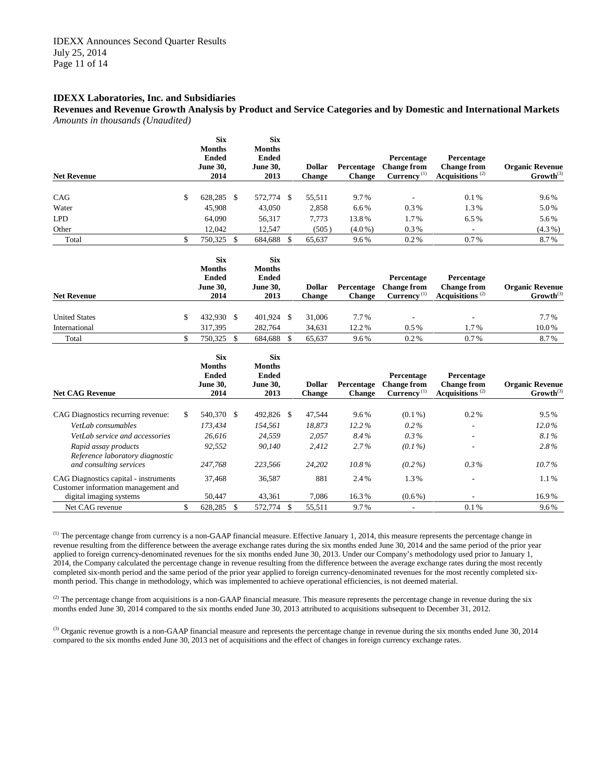**Revenues and Revenue Growth Analysis by Product and Service Categories and by Domestic and International Markets** *Amounts in thousands (Unaudited)*

| <b>Net Revenue</b>                                                           | <b>Six</b><br><b>Months</b><br><b>Ended</b><br><b>June 30.</b><br>2014 | <b>Six</b><br><b>Months</b><br><b>Ended</b><br><b>June 30.</b><br>2013 |                    | <b>Dollar</b><br><b>Change</b> | Percentage<br><b>Change</b> | Percentage<br><b>Change from</b><br>Currency <sup>(1)</sup>   | Percentage<br><b>Change from</b><br>Acquisitions <sup>(2)</sup>              | <b>Organic Revenue</b><br>$Growth^{(3)}$ |
|------------------------------------------------------------------------------|------------------------------------------------------------------------|------------------------------------------------------------------------|--------------------|--------------------------------|-----------------------------|---------------------------------------------------------------|------------------------------------------------------------------------------|------------------------------------------|
|                                                                              |                                                                        |                                                                        |                    |                                |                             |                                                               |                                                                              |                                          |
| CAG                                                                          | \$<br>628,285 \$                                                       | 572,774 \$                                                             |                    | 55,511                         | 9.7%                        | ÷,                                                            | 0.1%                                                                         | 9.6%                                     |
| Water                                                                        | 45.908                                                                 | 43,050                                                                 |                    | 2,858                          | 6.6%                        | $0.3\%$                                                       | 1.3%                                                                         | 5.0%                                     |
| <b>LPD</b>                                                                   | 64.090                                                                 | 56,317                                                                 |                    | 7,773                          | 13.8%                       | 1.7%                                                          | 6.5%                                                                         | 5.6%                                     |
| Other                                                                        | 12.042                                                                 | 12.547                                                                 |                    | (505)                          | $(4.0\%)$                   | $0.3\%$                                                       | $\overline{\phantom{a}}$                                                     | $(4.3\%)$                                |
| Total                                                                        | \$<br>750,325 \$                                                       | 684,688                                                                | $\mathbf{\hat{s}}$ | 65,637                         | 9.6%                        | $0.2\%$                                                       | 0.7%                                                                         | 8.7%                                     |
| <b>Net Revenue</b>                                                           | <b>Six</b><br><b>Months</b><br><b>Ended</b><br><b>June 30,</b><br>2014 | <b>Six</b><br><b>Months</b><br><b>Ended</b><br><b>June 30,</b><br>2013 |                    | <b>Dollar</b><br><b>Change</b> | Percentage<br><b>Change</b> | Percentage<br><b>Change from</b><br>$Curreney$ <sup>(1)</sup> | Percentage<br><b>Change from</b><br>Acquisitions <sup>(2)</sup>              | <b>Organic Revenue</b><br>$Growth^{(3)}$ |
|                                                                              |                                                                        |                                                                        |                    |                                |                             |                                                               |                                                                              |                                          |
| <b>United States</b>                                                         | \$<br>432,930 \$                                                       | 401,924 \$                                                             |                    | 31,006                         | 7.7%                        |                                                               |                                                                              | 7.7%                                     |
| International                                                                | 317,395                                                                | 282,764                                                                |                    | 34,631                         | 12.2%                       | $0.5\%$                                                       | 1.7%                                                                         | 10.0%                                    |
| Total                                                                        | \$<br>750,325 \$                                                       | 684,688 \$                                                             |                    | 65,637                         | 9.6%                        | 0.2%                                                          | 0.7%                                                                         | 8.7%                                     |
| <b>Net CAG Revenue</b>                                                       | <b>Six</b><br><b>Months</b><br><b>Ended</b><br><b>June 30,</b><br>2014 | <b>Six</b><br><b>Months</b><br><b>Ended</b><br><b>June 30,</b><br>2013 |                    | <b>Dollar</b><br><b>Change</b> | Percentage<br><b>Change</b> | Percentage<br><b>Change from</b><br>Current <sup>(1)</sup>    | Percentage<br><b>Change from</b><br>Acquisitions <sup><math>(2)</math></sup> | <b>Organic Revenue</b><br>$Growth^{(3)}$ |
| CAG Diagnostics recurring revenue:                                           | \$<br>540,370 \$                                                       | 492,826 \$                                                             |                    | 47,544                         | 9.6%                        | $(0.1\%)$                                                     | 0.2%                                                                         | 9.5%                                     |
| VetLab consumables                                                           | 173,434                                                                | 154,561                                                                |                    | 18,873                         | 12.2%                       | $0.2\%$                                                       |                                                                              | 12.0%                                    |
| VetLab service and accessories                                               | 26,616                                                                 | 24,559                                                                 |                    | 2,057                          | 8.4%                        | $0.3\%$                                                       |                                                                              | 8.1%                                     |
| Rapid assay products<br>Reference laboratory diagnostic                      | 92,552                                                                 | 90,140                                                                 |                    | 2,412                          | 2.7%                        | $(0.1\%)$                                                     |                                                                              | 2.8%                                     |
| and consulting services                                                      | 247,768                                                                | 223,566                                                                |                    | 24,202                         | 10.8%                       | $(0.2\%)$                                                     | $0.3\%$                                                                      | 10.7%                                    |
| CAG Diagnostics capital - instruments<br>Customer information management and | 37,468                                                                 | 36,587                                                                 |                    | 881                            | 2.4%                        | 1.3%                                                          |                                                                              | 1.1%                                     |
| digital imaging systems                                                      | 50,447                                                                 | 43,361                                                                 |                    | 7,086                          | 16.3%                       | $(0.6\%)$                                                     |                                                                              | 16.9%                                    |
| Net CAG revenue                                                              | \$<br>628.285 \$                                                       | 572,774 \$                                                             |                    | 55.511                         | 9.7%                        | $\overline{\phantom{a}}$                                      | 0.1%                                                                         | 9.6%                                     |

 $<sup>(1)</sup>$  The percentage change from currency is a non-GAAP financial measure. Effective January 1, 2014, this measure represents the percentage change in</sup> revenue resulting from the difference between the average exchange rates during the six months ended June 30, 2014 and the same period of the prior year applied to foreign currency-denominated revenues for the six months ended June 30, 2013. Under our Company's methodology used prior to January 1, 2014, the Company calculated the percentage change in revenue resulting from the difference between the average exchange rates during the most recently completed six-month period and the same period of the prior year applied to foreign currency-denominated revenues for the most recently completed sixmonth period. This change in methodology, which was implemented to achieve operational efficiencies, is not deemed material.

 $^{(2)}$  The percentage change from acquisitions is a non-GAAP financial measure. This measure represents the percentage change in revenue during the six months ended June 30, 2014 compared to the six months ended June 30, 2013 attributed to acquisitions subsequent to December 31, 2012.

<sup>(3)</sup> Organic revenue growth is a non-GAAP financial measure and represents the percentage change in revenue during the six months ended June 30, 2014 compared to the six months ended June 30, 2013 net of acquisitions and the effect of changes in foreign currency exchange rates.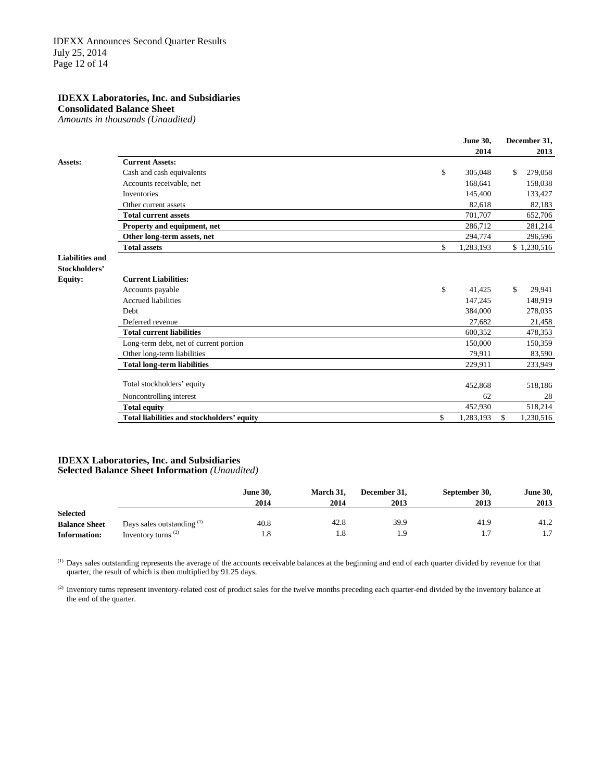**Consolidated Balance Sheet** *Amounts in thousands (Unaudited)*

|                                         |                                            | <b>June 30,</b><br>2014 | December 31,<br>2013 |
|-----------------------------------------|--------------------------------------------|-------------------------|----------------------|
| Assets:                                 | <b>Current Assets:</b>                     |                         |                      |
|                                         | Cash and cash equivalents                  | \$<br>305,048           | 279,058<br>\$        |
|                                         | Accounts receivable, net                   | 168,641                 | 158,038              |
|                                         | <b>Inventories</b>                         | 145,400                 | 133,427              |
|                                         | Other current assets                       | 82.618                  | 82,183               |
|                                         | <b>Total current assets</b>                | 701.707                 | 652,706              |
|                                         | Property and equipment, net                | 286,712                 | 281,214              |
|                                         | Other long-term assets, net                | 294,774                 | 296,596              |
|                                         | <b>Total assets</b>                        | \$<br>1,283,193         | \$1,230,516          |
| <b>Liabilities and</b><br>Stockholders' |                                            |                         |                      |
| <b>Equity:</b>                          | <b>Current Liabilities:</b>                |                         |                      |
|                                         | Accounts payable                           | \$<br>41,425            | \$<br>29,941         |
|                                         | <b>Accrued liabilities</b>                 | 147,245                 | 148,919              |
|                                         | <b>Debt</b>                                | 384,000                 | 278,035              |
|                                         | Deferred revenue                           | 27,682                  | 21,458               |
|                                         | <b>Total current liabilities</b>           | 600,352                 | 478,353              |
|                                         | Long-term debt, net of current portion     | 150,000                 | 150,359              |
|                                         | Other long-term liabilities                | 79,911                  | 83,590               |
|                                         | <b>Total long-term liabilities</b>         | 229,911                 | 233,949              |
|                                         | Total stockholders' equity                 | 452,868                 | 518,186              |
|                                         | Noncontrolling interest                    | 62                      | 28                   |
|                                         | <b>Total equity</b>                        | 452,930                 | 518,214              |
|                                         | Total liabilities and stockholders' equity | \$<br>1,283,193         | \$<br>1,230,516      |
|                                         |                                            |                         |                      |

#### **IDEXX Laboratories, Inc. and Subsidiaries Selected Balance Sheet Information** *(Unaudited)*

|                      |                                       | <b>June 30,</b><br>2014 | March 31,<br>2014 | December 31.<br>2013 | September 30,<br>2013 | <b>June 30,</b><br>2013 |
|----------------------|---------------------------------------|-------------------------|-------------------|----------------------|-----------------------|-------------------------|
| <b>Selected</b>      |                                       |                         |                   |                      |                       |                         |
| <b>Balance Sheet</b> | Days sales outstanding <sup>(1)</sup> | 40.8                    | 42.8              | 39.9                 | 41.9                  | 41.2                    |
| <b>Information:</b>  | Inventory turns $(2)$                 | 1.8                     |                   | 0. ا                 |                       | 1.7                     |

 $<sup>(1)</sup>$  Days sales outstanding represents the average of the accounts receivable balances at the beginning and end of each quarter divided by revenue for that</sup> quarter, the result of which is then multiplied by 91.25 days.

<sup>(2)</sup> Inventory turns represent inventory-related cost of product sales for the twelve months preceding each quarter-end divided by the inventory balance at the end of the quarter.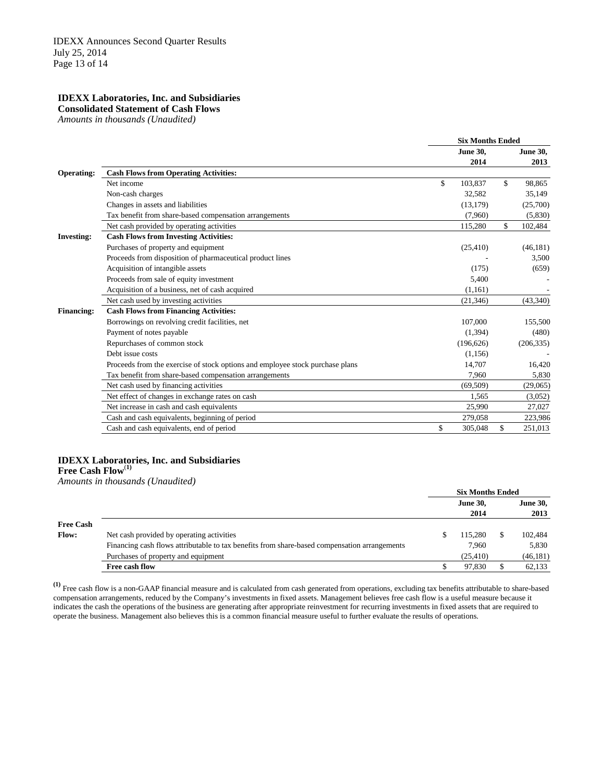**Consolidated Statement of Cash Flows** 

*Amounts in thousands (Unaudited)*

|                   |                                                                               | <b>Six Months Ended</b> |                 |    |                 |
|-------------------|-------------------------------------------------------------------------------|-------------------------|-----------------|----|-----------------|
|                   |                                                                               |                         | <b>June 30,</b> |    | <b>June 30,</b> |
|                   |                                                                               |                         | 2014            |    | 2013            |
| <b>Operating:</b> | <b>Cash Flows from Operating Activities:</b>                                  |                         |                 |    |                 |
|                   | Net income                                                                    | \$                      | 103,837         | \$ | 98,865          |
|                   | Non-cash charges                                                              |                         | 32,582          |    | 35,149          |
|                   | Changes in assets and liabilities                                             |                         | (13, 179)       |    | (25,700)        |
|                   | Tax benefit from share-based compensation arrangements                        |                         | (7,960)         |    | (5,830)         |
|                   | Net cash provided by operating activities                                     |                         | 115,280         | \$ | 102,484         |
| <b>Investing:</b> | <b>Cash Flows from Investing Activities:</b>                                  |                         |                 |    |                 |
|                   | Purchases of property and equipment                                           |                         | (25, 410)       |    | (46, 181)       |
|                   | Proceeds from disposition of pharmaceutical product lines                     |                         |                 |    | 3,500           |
|                   | Acquisition of intangible assets                                              |                         | (175)           |    | (659)           |
|                   | Proceeds from sale of equity investment                                       |                         | 5,400           |    |                 |
|                   | Acquisition of a business, net of cash acquired                               |                         | (1.161)         |    |                 |
|                   | Net cash used by investing activities                                         |                         | (21, 346)       |    | (43,340)        |
| <b>Financing:</b> | <b>Cash Flows from Financing Activities:</b>                                  |                         |                 |    |                 |
|                   | Borrowings on revolving credit facilities, net                                |                         | 107,000         |    | 155,500         |
|                   | Payment of notes payable                                                      |                         | (1,394)         |    | (480)           |
|                   | Repurchases of common stock                                                   |                         | (196, 626)      |    | (206, 335)      |
|                   | Debt issue costs                                                              |                         | (1, 156)        |    |                 |
|                   | Proceeds from the exercise of stock options and employee stock purchase plans |                         | 14,707          |    | 16,420          |
|                   | Tax benefit from share-based compensation arrangements                        |                         | 7.960           |    | 5,830           |
|                   | Net cash used by financing activities                                         |                         | (69, 509)       |    | (29,065)        |
|                   | Net effect of changes in exchange rates on cash                               |                         | 1,565           |    | (3,052)         |
|                   | Net increase in cash and cash equivalents                                     |                         | 25,990          |    | 27,027          |
|                   | Cash and cash equivalents, beginning of period                                |                         | 279,058         |    | 223,986         |
|                   | Cash and cash equivalents, end of period                                      | \$                      | 305,048         | \$ | 251,013         |
|                   |                                                                               |                         |                 |    |                 |

## **IDEXX Laboratories, Inc. and Subsidiaries**

**Free Cash Flow**(**1)**

*Amounts in thousands (Unaudited)*

|                  |                                                                                              | <b>Six Months Ended</b> |                 |
|------------------|----------------------------------------------------------------------------------------------|-------------------------|-----------------|
|                  |                                                                                              | <b>June 30,</b>         | <b>June 30,</b> |
|                  |                                                                                              | 2014                    | 2013            |
| <b>Free Cash</b> |                                                                                              |                         |                 |
| <b>Flow:</b>     | Net cash provided by operating activities                                                    | 115.280                 | 102,484         |
|                  | Financing cash flows attributable to tax benefits from share-based compensation arrangements | 7.960                   | 5,830           |
|                  | Purchases of property and equipment                                                          | (25, 410)               | (46, 181)       |
|                  | Free cash flow                                                                               | 97,830                  | 62,133          |

**(1)** Free cash flow is a non-GAAP financial measure and is calculated from cash generated from operations, excluding tax benefits attributable to share-based compensation arrangements, reduced by the Company's investments in fixed assets. Management believes free cash flow is a useful measure because it indicates the cash the operations of the business are generating after appropriate reinvestment for recurring investments in fixed assets that are required to operate the business. Management also believes this is a common financial measure useful to further evaluate the results of operations.